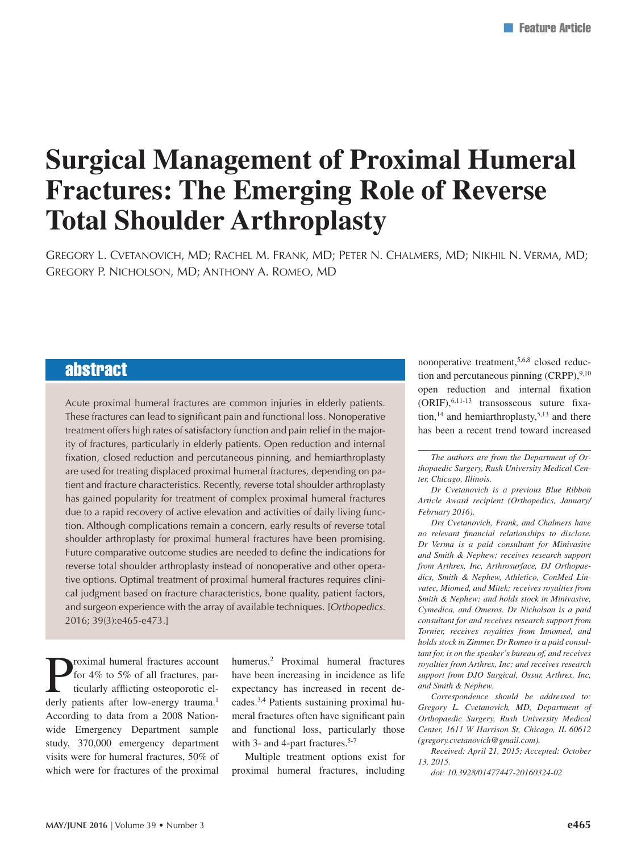# **Surgical Management of Proximal Humeral Fractures: The Emerging Role of Reverse Total Shoulder Arthroplasty**

Gregory L. Cvetanovich, MD; Rachel M. Frank, MD; Peter N. Chalmers, MD; Nikhil N. Verma, MD; Gregory P. Nicholson, MD; Anthony A. Romeo, MD

## abstract

Acute proximal humeral fractures are common injuries in elderly patients. These fractures can lead to significant pain and functional loss. Nonoperative treatment offers high rates of satisfactory function and pain relief in the majority of fractures, particularly in elderly patients. Open reduction and internal fixation, closed reduction and percutaneous pinning, and hemiarthroplasty are used for treating displaced proximal humeral fractures, depending on patient and fracture characteristics. Recently, reverse total shoulder arthroplasty has gained popularity for treatment of complex proximal humeral fractures due to a rapid recovery of active elevation and activities of daily living function. Although complications remain a concern, early results of reverse total shoulder arthroplasty for proximal humeral fractures have been promising. Future comparative outcome studies are needed to define the indications for reverse total shoulder arthroplasty instead of nonoperative and other operative options. Optimal treatment of proximal humeral fractures requires clinical judgment based on fracture characteristics, bone quality, patient factors, and surgeon experience with the array of available techniques. [*Orthopedics.*  2016; 39(3):e465-e473.]

**Proximal humeral fractures account**<br>for 4% to 5% of all fractures, particularly afflicting osteoporotic elements often low approximately for 4% to 5% of all fractures, particularly afflicting osteoporotic elderly patients after low-energy trauma.<sup>1</sup> According to data from a 2008 Nationwide Emergency Department sample study, 370,000 emergency department visits were for humeral fractures, 50% of which were for fractures of the proximal

humerus.2 Proximal humeral fractures have been increasing in incidence as life expectancy has increased in recent decades.3,4 Patients sustaining proximal humeral fractures often have significant pain and functional loss, particularly those with 3- and 4-part fractures.<sup>5-7</sup>

Multiple treatment options exist for proximal humeral fractures, including

nonoperative treatment,5,6,8 closed reduction and percutaneous pinning (CRPP), 9,10 open reduction and internal fixation (ORIF),6,11-13 transosseous suture fixation,<sup>14</sup> and hemiarthroplasty,<sup>5,13</sup> and there has been a recent trend toward increased

*Dr Cvetanovich is a previous Blue Ribbon Article Award recipient (Orthopedics, January/ February 2016).*

*Drs Cvetanovich, Frank, and Chalmers have no relevant financial relationships to disclose. Dr Verma is a paid consultant for Minivasive and Smith & Nephew; receives research support from Arthrex, Inc, Arthrosurface, DJ Orthopaedics, Smith & Nephew, Athletico, ConMed Linvatec, Miomed, and Mitek; receives royalties from Smith & Nephew; and holds stock in Minivasive, Cymedica, and Omeros. Dr Nicholson is a paid consultant for and receives research support from Tornier, receives royalties from Innomed, and holds stock in Zimmer. Dr Romeo is a paid consultant for, is on the speaker's bureau of, and receives royalties from Arthrex, Inc; and receives research support from DJO Surgical, Ossur, Arthrex, Inc, and Smith & Nephew.*

*Correspondence should be addressed to: Gregory L. Cvetanovich, MD, Department of Orthopaedic Surgery, Rush University Medical Center, 1611 W Harrison St, Chicago, IL 60612 (gregory.cvetanovich@gmail.com).*

*Received: April 21, 2015; Accepted: October 13, 2015.*

*doi: 10.3928/01477447-20160324-02*

*The authors are from the Department of Orthopaedic Surgery, Rush University Medical Center, Chicago, Illinois.*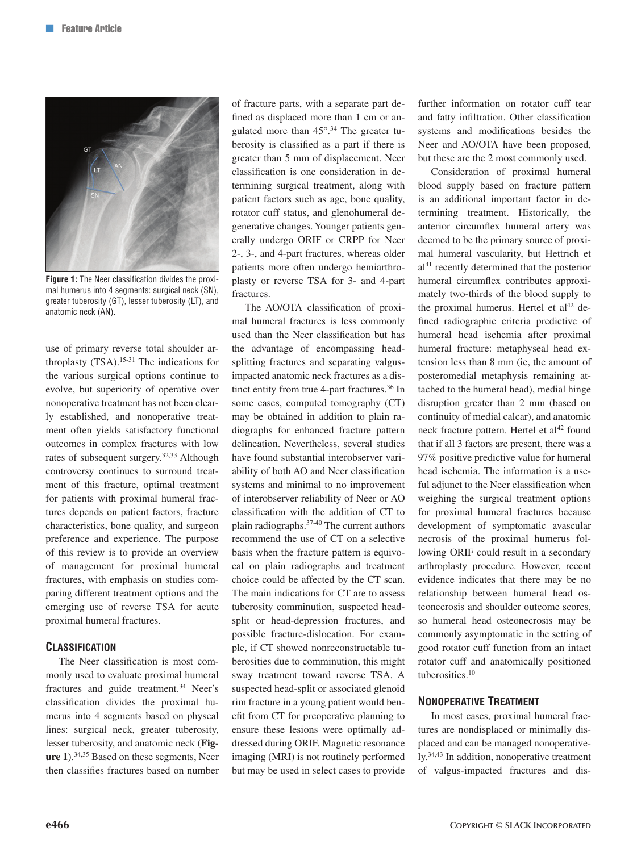

**Figure 1:** The Neer classification divides the proximal humerus into 4 segments: surgical neck (SN), greater tuberosity (GT), lesser tuberosity (LT), and anatomic neck (AN).

use of primary reverse total shoulder arthroplasty (TSA).15-31 The indications for the various surgical options continue to evolve, but superiority of operative over nonoperative treatment has not been clearly established, and nonoperative treatment often yields satisfactory functional outcomes in complex fractures with low rates of subsequent surgery.32,33 Although controversy continues to surround treatment of this fracture, optimal treatment for patients with proximal humeral fractures depends on patient factors, fracture characteristics, bone quality, and surgeon preference and experience. The purpose of this review is to provide an overview of management for proximal humeral fractures, with emphasis on studies comparing different treatment options and the emerging use of reverse TSA for acute proximal humeral fractures.

## **Classification**

The Neer classification is most commonly used to evaluate proximal humeral fractures and guide treatment.<sup>34</sup> Neer's classification divides the proximal humerus into 4 segments based on physeal lines: surgical neck, greater tuberosity, lesser tuberosity, and anatomic neck (**Figure 1**).34,35 Based on these segments, Neer then classifies fractures based on number of fracture parts, with a separate part defined as displaced more than 1 cm or angulated more than 45°.34 The greater tuberosity is classified as a part if there is greater than 5 mm of displacement. Neer classification is one consideration in determining surgical treatment, along with patient factors such as age, bone quality, rotator cuff status, and glenohumeral degenerative changes. Younger patients generally undergo ORIF or CRPP for Neer 2-, 3-, and 4-part fractures, whereas older patients more often undergo hemiarthroplasty or reverse TSA for 3- and 4-part fractures.

The AO/OTA classification of proximal humeral fractures is less commonly used than the Neer classification but has the advantage of encompassing headsplitting fractures and separating valgusimpacted anatomic neck fractures as a distinct entity from true 4-part fractures.<sup>36</sup> In some cases, computed tomography (CT) may be obtained in addition to plain radiographs for enhanced fracture pattern delineation. Nevertheless, several studies have found substantial interobserver variability of both AO and Neer classification systems and minimal to no improvement of interobserver reliability of Neer or AO classification with the addition of CT to plain radiographs.37-40 The current authors recommend the use of CT on a selective basis when the fracture pattern is equivocal on plain radiographs and treatment choice could be affected by the CT scan. The main indications for CT are to assess tuberosity comminution, suspected headsplit or head-depression fractures, and possible fracture-dislocation. For example, if CT showed nonreconstructable tuberosities due to comminution, this might sway treatment toward reverse TSA. A suspected head-split or associated glenoid rim fracture in a young patient would benefit from CT for preoperative planning to ensure these lesions were optimally addressed during ORIF. Magnetic resonance imaging (MRI) is not routinely performed but may be used in select cases to provide further information on rotator cuff tear and fatty infiltration. Other classification systems and modifications besides the Neer and AO/OTA have been proposed, but these are the 2 most commonly used.

Consideration of proximal humeral blood supply based on fracture pattern is an additional important factor in determining treatment. Historically, the anterior circumflex humeral artery was deemed to be the primary source of proximal humeral vascularity, but Hettrich et  $al<sup>41</sup>$  recently determined that the posterior humeral circumflex contributes approximately two-thirds of the blood supply to the proximal humerus. Hertel et  $al<sup>42</sup>$  defined radiographic criteria predictive of humeral head ischemia after proximal humeral fracture: metaphyseal head extension less than 8 mm (ie, the amount of posteromedial metaphysis remaining attached to the humeral head), medial hinge disruption greater than 2 mm (based on continuity of medial calcar), and anatomic neck fracture pattern. Hertel et al<sup>42</sup> found that if all 3 factors are present, there was a 97% positive predictive value for humeral head ischemia. The information is a useful adjunct to the Neer classification when weighing the surgical treatment options for proximal humeral fractures because development of symptomatic avascular necrosis of the proximal humerus following ORIF could result in a secondary arthroplasty procedure. However, recent evidence indicates that there may be no relationship between humeral head osteonecrosis and shoulder outcome scores, so humeral head osteonecrosis may be commonly asymptomatic in the setting of good rotator cuff function from an intact rotator cuff and anatomically positioned tuberosities.10

#### **Nonoperative Treatment**

In most cases, proximal humeral fractures are nondisplaced or minimally displaced and can be managed nonoperatively.34,43 In addition, nonoperative treatment of valgus-impacted fractures and dis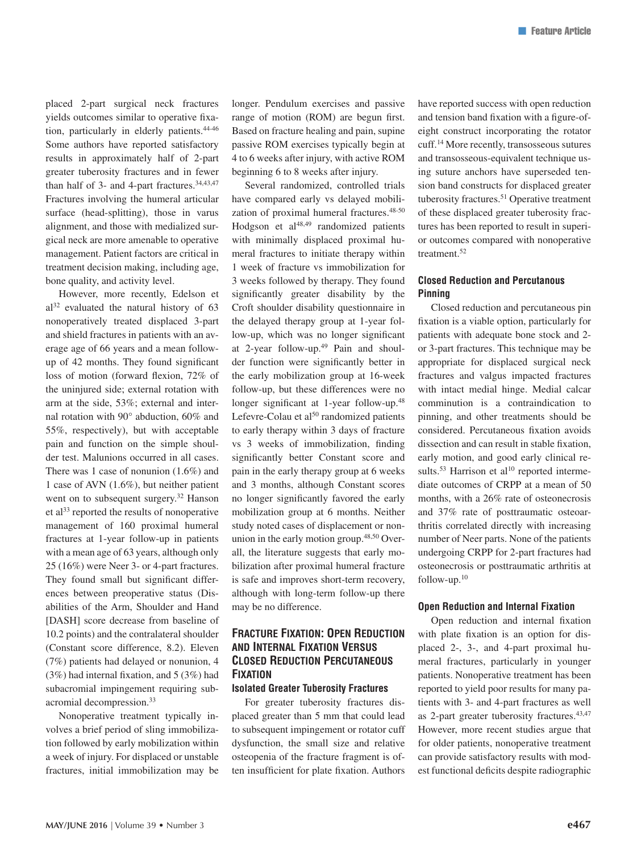placed 2-part surgical neck fractures yields outcomes similar to operative fixation, particularly in elderly patients.44-46 Some authors have reported satisfactory results in approximately half of 2-part greater tuberosity fractures and in fewer than half of 3- and 4-part fractures.<sup>34,43,47</sup> Fractures involving the humeral articular surface (head-splitting), those in varus alignment, and those with medialized surgical neck are more amenable to operative management. Patient factors are critical in treatment decision making, including age, bone quality, and activity level.

However, more recently, Edelson et  $al<sup>32</sup>$  evaluated the natural history of 63 nonoperatively treated displaced 3-part and shield fractures in patients with an average age of 66 years and a mean followup of 42 months. They found significant loss of motion (forward flexion, 72% of the uninjured side; external rotation with arm at the side, 53%; external and internal rotation with 90° abduction, 60% and 55%, respectively), but with acceptable pain and function on the simple shoulder test. Malunions occurred in all cases. There was 1 case of nonunion (1.6%) and 1 case of AVN (1.6%), but neither patient went on to subsequent surgery.<sup>32</sup> Hanson et  $al^{33}$  reported the results of nonoperative management of 160 proximal humeral fractures at 1-year follow-up in patients with a mean age of 63 years, although only 25 (16%) were Neer 3- or 4-part fractures. They found small but significant differences between preoperative status (Disabilities of the Arm, Shoulder and Hand [DASH] score decrease from baseline of 10.2 points) and the contralateral shoulder (Constant score difference, 8.2). Eleven (7%) patients had delayed or nonunion, 4 (3%) had internal fixation, and 5 (3%) had subacromial impingement requiring subacromial decompression.33

Nonoperative treatment typically involves a brief period of sling immobilization followed by early mobilization within a week of injury. For displaced or unstable fractures, initial immobilization may be longer. Pendulum exercises and passive range of motion (ROM) are begun first. Based on fracture healing and pain, supine passive ROM exercises typically begin at 4 to 6 weeks after injury, with active ROM beginning 6 to 8 weeks after injury.

Several randomized, controlled trials have compared early vs delayed mobilization of proximal humeral fractures.<sup>48-50</sup> Hodgson et  $al<sup>48,49</sup>$  randomized patients with minimally displaced proximal humeral fractures to initiate therapy within 1 week of fracture vs immobilization for 3 weeks followed by therapy. They found significantly greater disability by the Croft shoulder disability questionnaire in the delayed therapy group at 1-year follow-up, which was no longer significant at 2-year follow-up.49 Pain and shoulder function were significantly better in the early mobilization group at 16-week follow-up, but these differences were no longer significant at 1-year follow-up.48 Lefevre-Colau et al<sup>50</sup> randomized patients to early therapy within 3 days of fracture vs 3 weeks of immobilization, finding significantly better Constant score and pain in the early therapy group at 6 weeks and 3 months, although Constant scores no longer significantly favored the early mobilization group at 6 months. Neither study noted cases of displacement or nonunion in the early motion group.<sup>48,50</sup> Overall, the literature suggests that early mobilization after proximal humeral fracture is safe and improves short-term recovery, although with long-term follow-up there may be no difference.

## **Fracture Fixation: Open Reduction and Internal Fixation Versus Closed Reduction Percutaneous Fixation**

## **Isolated Greater Tuberosity Fractures**

For greater tuberosity fractures displaced greater than 5 mm that could lead to subsequent impingement or rotator cuff dysfunction, the small size and relative osteopenia of the fracture fragment is often insufficient for plate fixation. Authors have reported success with open reduction and tension band fixation with a figure-ofeight construct incorporating the rotator cuff.14 More recently, transosseous sutures and transosseous-equivalent technique using suture anchors have superseded tension band constructs for displaced greater tuberosity fractures.<sup>51</sup> Operative treatment of these displaced greater tuberosity fractures has been reported to result in superior outcomes compared with nonoperative treatment.<sup>52</sup>

## **Closed Reduction and Percutanous Pinning**

Closed reduction and percutaneous pin fixation is a viable option, particularly for patients with adequate bone stock and 2 or 3-part fractures. This technique may be appropriate for displaced surgical neck fractures and valgus impacted fractures with intact medial hinge. Medial calcar comminution is a contraindication to pinning, and other treatments should be considered. Percutaneous fixation avoids dissection and can result in stable fixation, early motion, and good early clinical results.<sup>53</sup> Harrison et al<sup>10</sup> reported intermediate outcomes of CRPP at a mean of 50 months, with a 26% rate of osteonecrosis and 37% rate of posttraumatic osteoarthritis correlated directly with increasing number of Neer parts. None of the patients undergoing CRPP for 2-part fractures had osteonecrosis or posttraumatic arthritis at follow-up.10

#### **Open Reduction and Internal Fixation**

Open reduction and internal fixation with plate fixation is an option for displaced 2-, 3-, and 4-part proximal humeral fractures, particularly in younger patients. Nonoperative treatment has been reported to yield poor results for many patients with 3- and 4-part fractures as well as 2-part greater tuberosity fractures.<sup>43,47</sup> However, more recent studies argue that for older patients, nonoperative treatment can provide satisfactory results with modest functional deficits despite radiographic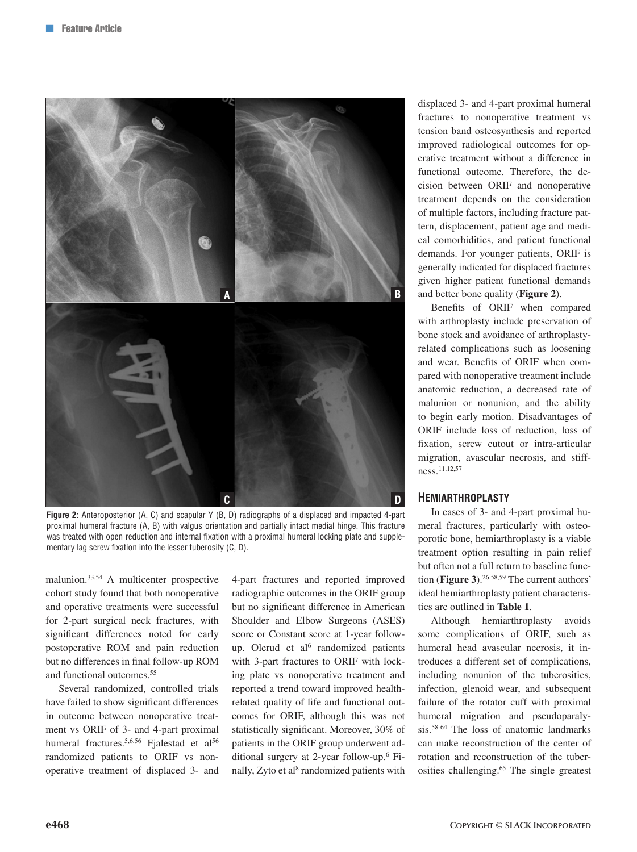

**Figure 2:** Anteroposterior (A, C) and scapular Y (B, D) radiographs of a displaced and impacted 4-part proximal humeral fracture (A, B) with valgus orientation and partially intact medial hinge. This fracture was treated with open reduction and internal fixation with a proximal humeral locking plate and supplementary lag screw fixation into the lesser tuberosity (C, D).

malunion.33,54 A multicenter prospective cohort study found that both nonoperative and operative treatments were successful for 2-part surgical neck fractures, with significant differences noted for early postoperative ROM and pain reduction but no differences in final follow-up ROM and functional outcomes.55

Several randomized, controlled trials have failed to show significant differences in outcome between nonoperative treatment vs ORIF of 3- and 4-part proximal humeral fractures.<sup>5,6,56</sup> Fjalestad et al<sup>56</sup> randomized patients to ORIF vs nonoperative treatment of displaced 3- and 4-part fractures and reported improved radiographic outcomes in the ORIF group but no significant difference in American Shoulder and Elbow Surgeons (ASES) score or Constant score at 1-year followup. Olerud et al<sup>6</sup> randomized patients with 3-part fractures to ORIF with locking plate vs nonoperative treatment and reported a trend toward improved healthrelated quality of life and functional outcomes for ORIF, although this was not statistically significant. Moreover, 30% of patients in the ORIF group underwent additional surgery at 2-year follow-up.6 Finally, Zyto et al<sup>8</sup> randomized patients with displaced 3- and 4-part proximal humeral fractures to nonoperative treatment vs tension band osteosynthesis and reported improved radiological outcomes for operative treatment without a difference in functional outcome. Therefore, the decision between ORIF and nonoperative treatment depends on the consideration of multiple factors, including fracture pattern, displacement, patient age and medical comorbidities, and patient functional demands. For younger patients, ORIF is generally indicated for displaced fractures given higher patient functional demands and better bone quality (**Figure 2**).

Benefits of ORIF when compared with arthroplasty include preservation of bone stock and avoidance of arthroplastyrelated complications such as loosening and wear. Benefits of ORIF when compared with nonoperative treatment include anatomic reduction, a decreased rate of malunion or nonunion, and the ability to begin early motion. Disadvantages of ORIF include loss of reduction, loss of fixation, screw cutout or intra-articular migration, avascular necrosis, and stiffness.11,12,57

#### **Hemiarthroplasty**

In cases of 3- and 4-part proximal humeral fractures, particularly with osteoporotic bone, hemiarthroplasty is a viable treatment option resulting in pain relief but often not a full return to baseline function (**Figure 3**).26,58,59 The current authors' ideal hemiarthroplasty patient characteristics are outlined in **Table 1**.

Although hemiarthroplasty avoids some complications of ORIF, such as humeral head avascular necrosis, it introduces a different set of complications, including nonunion of the tuberosities, infection, glenoid wear, and subsequent failure of the rotator cuff with proximal humeral migration and pseudoparalysis.58-64 The loss of anatomic landmarks can make reconstruction of the center of rotation and reconstruction of the tuberosities challenging.65 The single greatest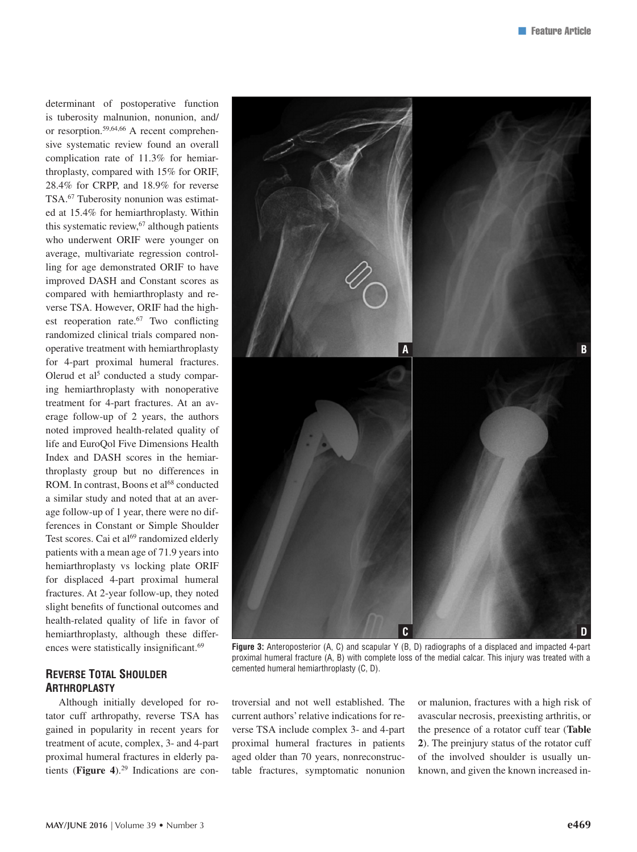determinant of postoperative function is tuberosity malnunion, nonunion, and/ or resorption.59,64,66 A recent comprehensive systematic review found an overall complication rate of 11.3% for hemiarthroplasty, compared with 15% for ORIF, 28.4% for CRPP, and 18.9% for reverse TSA.67 Tuberosity nonunion was estimated at 15.4% for hemiarthroplasty. Within this systematic review, <sup>67</sup> although patients who underwent ORIF were younger on average, multivariate regression controlling for age demonstrated ORIF to have improved DASH and Constant scores as compared with hemiarthroplasty and reverse TSA. However, ORIF had the highest reoperation rate.<sup>67</sup> Two conflicting randomized clinical trials compared nonoperative treatment with hemiarthroplasty for 4-part proximal humeral fractures. Olerud et al<sup>5</sup> conducted a study comparing hemiarthroplasty with nonoperative treatment for 4-part fractures. At an average follow-up of 2 years, the authors noted improved health-related quality of life and EuroQol Five Dimensions Health Index and DASH scores in the hemiarthroplasty group but no differences in ROM. In contrast, Boons et al<sup>68</sup> conducted a similar study and noted that at an average follow-up of 1 year, there were no differences in Constant or Simple Shoulder Test scores. Cai et al<sup>69</sup> randomized elderly patients with a mean age of 71.9 years into hemiarthroplasty vs locking plate ORIF for displaced 4-part proximal humeral fractures. At 2-year follow-up, they noted slight benefits of functional outcomes and health-related quality of life in favor of hemiarthroplasty, although these differences were statistically insignificant.<sup>69</sup>

## **Reverse Total Shoulder Arthroplasty**

Although initially developed for rotator cuff arthropathy, reverse TSA has gained in popularity in recent years for treatment of acute, complex, 3- and 4-part proximal humeral fractures in elderly patients (**Figure 4**).29 Indications are con-



**Figure 3:** Anteroposterior (A, C) and scapular Y (B, D) radiographs of a displaced and impacted 4-part proximal humeral fracture (A, B) with complete loss of the medial calcar. This injury was treated with a cemented humeral hemiarthroplasty (C, D).

troversial and not well established. The current authors' relative indications for reverse TSA include complex 3- and 4-part proximal humeral fractures in patients aged older than 70 years, nonreconstructable fractures, symptomatic nonunion or malunion, fractures with a high risk of avascular necrosis, preexisting arthritis, or the presence of a rotator cuff tear (**Table 2**). The preinjury status of the rotator cuff of the involved shoulder is usually unknown, and given the known increased in-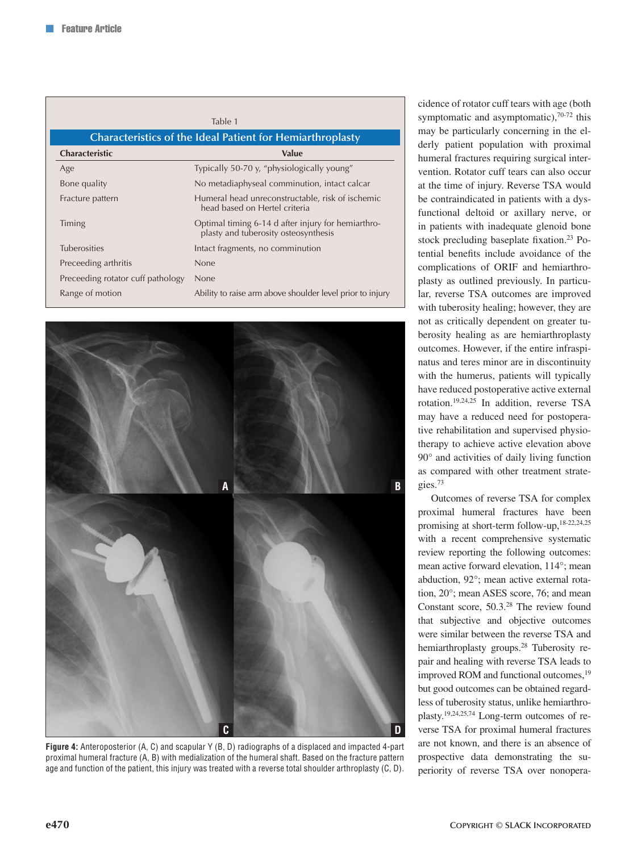|                                                                  | Table 1                                                                                    |
|------------------------------------------------------------------|--------------------------------------------------------------------------------------------|
| <b>Characteristics of the Ideal Patient for Hemiarthroplasty</b> |                                                                                            |
| Characteristic                                                   | <b>Value</b>                                                                               |
| Age                                                              | Typically 50-70 y, "physiologically young"                                                 |
| Bone quality                                                     | No metadiaphyseal comminution, intact calcar                                               |
| Fracture pattern                                                 | Humeral head unreconstructable, risk of ischemic<br>head based on Hertel criteria          |
| Timing                                                           | Optimal timing 6-14 d after injury for hemiarthro-<br>plasty and tuberosity osteosynthesis |
| <b>Tuberosities</b>                                              | Intact fragments, no comminution                                                           |
| Preceeding arthritis                                             | <b>None</b>                                                                                |
| Preceeding rotator cuff pathology                                | <b>None</b>                                                                                |
| Range of motion                                                  | Ability to raise arm above shoulder level prior to injury                                  |



**Figure 4:** Anteroposterior (A, C) and scapular Y (B, D) radiographs of a displaced and impacted 4-part proximal humeral fracture (A, B) with medialization of the humeral shaft. Based on the fracture pattern age and function of the patient, this injury was treated with a reverse total shoulder arthroplasty (C, D).

cidence of rotator cuff tears with age (both symptomatic and asymptomatic), $70-72$  this may be particularly concerning in the elderly patient population with proximal humeral fractures requiring surgical intervention. Rotator cuff tears can also occur at the time of injury. Reverse TSA would be contraindicated in patients with a dysfunctional deltoid or axillary nerve, or in patients with inadequate glenoid bone stock precluding baseplate fixation.<sup>23</sup> Potential benefits include avoidance of the complications of ORIF and hemiarthroplasty as outlined previously. In particular, reverse TSA outcomes are improved with tuberosity healing; however, they are not as critically dependent on greater tuberosity healing as are hemiarthroplasty outcomes. However, if the entire infraspinatus and teres minor are in discontinuity with the humerus, patients will typically have reduced postoperative active external rotation.19,24,25 In addition, reverse TSA may have a reduced need for postoperative rehabilitation and supervised physiotherapy to achieve active elevation above 90° and activities of daily living function as compared with other treatment strategies.73

Outcomes of reverse TSA for complex proximal humeral fractures have been promising at short-term follow-up,18-22,24,25 with a recent comprehensive systematic review reporting the following outcomes: mean active forward elevation, 114°; mean abduction, 92°; mean active external rotation, 20°; mean ASES score, 76; and mean Constant score, 50.3.28 The review found that subjective and objective outcomes were similar between the reverse TSA and hemiarthroplasty groups.<sup>28</sup> Tuberosity repair and healing with reverse TSA leads to improved ROM and functional outcomes,<sup>19</sup> but good outcomes can be obtained regardless of tuberosity status, unlike hemiarthroplasty.19,24,25,74 Long-term outcomes of reverse TSA for proximal humeral fractures are not known, and there is an absence of prospective data demonstrating the superiority of reverse TSA over nonopera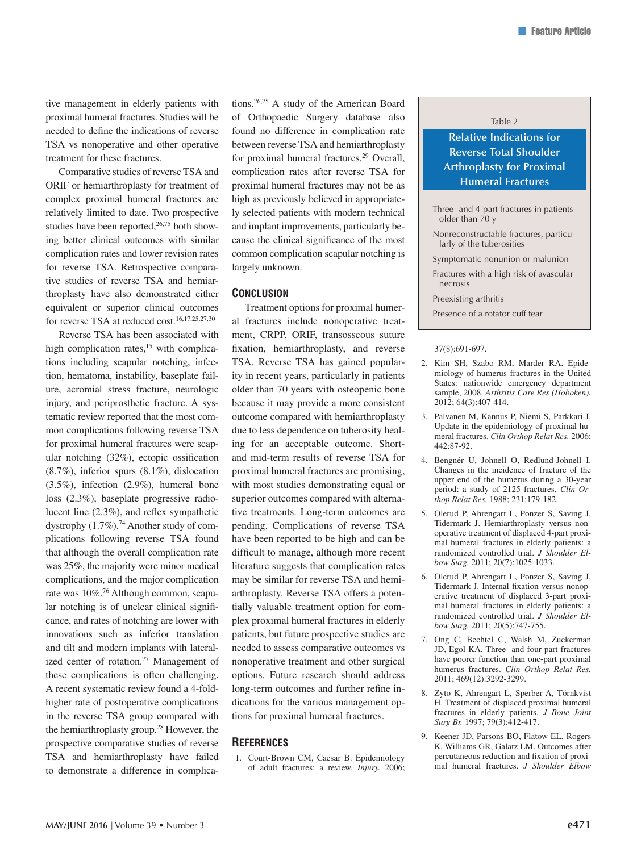tive management in elderly patients with proximal humeral fractures. Studies will be needed to define the indications of reverse TSA vs nonoperative and other operative treatment for these fractures.

Comparative studies of reverse TSA and ORIF or hemiarthroplasty for treatment of complex proximal humeral fractures are relatively limited to date. Two prospective studies have been reported, $26,75$  both showing better clinical outcomes with similar complication rates and lower revision rates for reverse TSA. Retrospective comparative studies of reverse TSA and hemiarthroplasty have also demonstrated either equivalent or superior clinical outcomes for reverse TSA at reduced cost.<sup>16,17,25,27,30</sup>

Reverse TSA has been associated with high complication rates, $15$  with complications including scapular notching, infection, hematoma, instability, baseplate failure, acromial stress fracture, neurologic injury, and periprosthetic fracture. A systematic review reported that the most common complications following reverse TSA for proximal humeral fractures were scapular notching (32%), ectopic ossification (8.7%), inferior spurs (8.1%), dislocation (3.5%), infection (2.9%), humeral bone loss (2.3%), baseplate progressive radiolucent line (2.3%), and reflex sympathetic dystrophy  $(1.7\%)$ .<sup>74</sup> Another study of complications following reverse TSA found that although the overall complication rate was 25%, the majority were minor medical complications, and the major complication rate was 10%.76 Although common, scapular notching is of unclear clinical significance, and rates of notching are lower with innovations such as inferior translation and tilt and modern implants with lateralized center of rotation.<sup>77</sup> Management of these complications is often challenging. A recent systematic review found a 4-foldhigher rate of postoperative complications in the reverse TSA group compared with the hemiarthroplasty group.28 However, the prospective comparative studies of reverse TSA and hemiarthroplasty have failed to demonstrate a difference in complications.26,75 A study of the American Board of Orthopaedic Surgery database also found no difference in complication rate between reverse TSA and hemiarthroplasty for proximal humeral fractures.29 Overall, complication rates after reverse TSA for proximal humeral fractures may not be as high as previously believed in appropriately selected patients with modern technical and implant improvements, particularly because the clinical significance of the most common complication scapular notching is largely unknown.

#### **Conclusion**

Treatment options for proximal humeral fractures include nonoperative treatment, CRPP, ORIF, transosseous suture fixation, hemiarthroplasty, and reverse TSA. Reverse TSA has gained popularity in recent years, particularly in patients older than 70 years with osteopenic bone because it may provide a more consistent outcome compared with hemiarthroplasty due to less dependence on tuberosity healing for an acceptable outcome. Shortand mid-term results of reverse TSA for proximal humeral fractures are promising, with most studies demonstrating equal or superior outcomes compared with alternative treatments. Long-term outcomes are pending. Complications of reverse TSA have been reported to be high and can be difficult to manage, although more recent literature suggests that complication rates may be similar for reverse TSA and hemiarthroplasty. Reverse TSA offers a potentially valuable treatment option for complex proximal humeral fractures in elderly patients, but future prospective studies are needed to assess comparative outcomes vs nonoperative treatment and other surgical options. Future research should address long-term outcomes and further refine indications for the various management options for proximal humeral fractures.

#### **References**

1. Court-Brown CM, Caesar B. Epidemiology of adult fractures: a review. *Injury.* 2006;

#### Table 2

## **Relative Indications for Reverse Total Shoulder Arthroplasty for Proximal Humeral Fractures**

- Three- and 4-part fractures in patients older than  $70 y$
- Nonreconstructable fractures, particularly of the tuberosities
- Symptomatic nonunion or malunion

Fractures with a high risk of avascular necrosis

Preexisting arthritis

Presence of a rotator cuff tear

#### 37(8):691-697.

- 2. Kim SH, Szabo RM, Marder RA. Epidemiology of humerus fractures in the United States: nationwide emergency department sample, 2008. *Arthritis Care Res (Hoboken).* 2012; 64(3):407-414.
- 3. Palvanen M, Kannus P, Niemi S, Parkkari J. Update in the epidemiology of proximal humeral fractures. *Clin Orthop Relat Res.* 2006; 442:87-92.
- 4. Bengnér U, Johnell O, Redlund-Johnell I. Changes in the incidence of fracture of the upper end of the humerus during a 30-year period: a study of 2125 fractures. *Clin Orthop Relat Res.* 1988; 231:179-182.
- 5. Olerud P, Ahrengart L, Ponzer S, Saving J, Tidermark J. Hemiarthroplasty versus nonoperative treatment of displaced 4-part proximal humeral fractures in elderly patients: a randomized controlled trial. *J Shoulder Elbow Surg.* 2011; 20(7):1025-1033.
- 6. Olerud P, Ahrengart L, Ponzer S, Saving J, Tidermark J. Internal fixation versus nonoperative treatment of displaced 3-part proximal humeral fractures in elderly patients: a randomized controlled trial. *J Shoulder Elbow Surg.* 2011; 20(5):747-755.
- 7. Ong C, Bechtel C, Walsh M, Zuckerman JD, Egol KA. Three- and four-part fractures have poorer function than one-part proximal humerus fractures. *Clin Orthop Relat Res.* 2011; 469(12):3292-3299.
- 8. Zyto K, Ahrengart L, Sperber A, Törnkvist H. Treatment of displaced proximal humeral fractures in elderly patients. *J Bone Joint Surg Br.* 1997; 79(3):412-417.
- 9. Keener JD, Parsons BO, Flatow EL, Rogers K, Williams GR, Galatz LM. Outcomes after percutaneous reduction and fixation of proximal humeral fractures. *J Shoulder Elbow*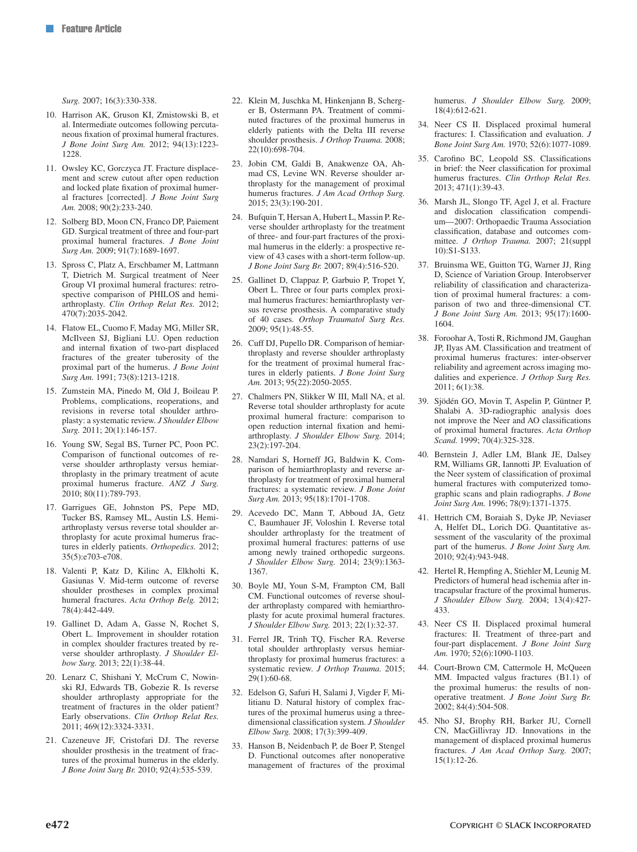*Surg.* 2007; 16(3):330-338.

- 10. Harrison AK, Gruson KI, Zmistowski B, et al. Intermediate outcomes following percutaneous fixation of proximal humeral fractures. *J Bone Joint Surg Am.* 2012; 94(13):1223- 1228.
- 11. Owsley KC, Gorczyca JT. Fracture displacement and screw cutout after open reduction and locked plate fixation of proximal humeral fractures [corrected]. *J Bone Joint Surg Am.* 2008; 90(2):233-240.
- 12. Solberg BD, Moon CN, Franco DP, Paiement GD. Surgical treatment of three and four-part proximal humeral fractures. *J Bone Joint Surg Am.* 2009; 91(7):1689-1697.
- 13. Spross C, Platz A, Erschbamer M, Lattmann T, Dietrich M. Surgical treatment of Neer Group VI proximal humeral fractures: retrospective comparison of PHILOS and hemiarthroplasty. *Clin Orthop Relat Res.* 2012; 470(7):2035-2042.
- 14. Flatow EL, Cuomo F, Maday MG, Miller SR, McIlveen SJ, Bigliani LU. Open reduction and internal fixation of two-part displaced fractures of the greater tuberosity of the proximal part of the humerus. *J Bone Joint Surg Am.* 1991; 73(8):1213-1218.
- 15. Zumstein MA, Pinedo M, Old J, Boileau P. Problems, complications, reoperations, and revisions in reverse total shoulder arthroplasty: a systematic review. *J Shoulder Elbow Surg.* 2011; 20(1):146-157.
- 16. Young SW, Segal BS, Turner PC, Poon PC. Comparison of functional outcomes of reverse shoulder arthroplasty versus hemiarthroplasty in the primary treatment of acute proximal humerus fracture. *ANZ J Surg.* 2010; 80(11):789-793.
- 17. Garrigues GE, Johnston PS, Pepe MD, Tucker BS, Ramsey ML, Austin LS. Hemiarthroplasty versus reverse total shoulder arthroplasty for acute proximal humerus fractures in elderly patients. *Orthopedics.* 2012; 35(5):e703-e708.
- 18. Valenti P, Katz D, Kilinc A, Elkholti K, Gasiunas V. Mid-term outcome of reverse shoulder prostheses in complex proximal humeral fractures. *Acta Orthop Belg.* 2012; 78(4):442-449.
- 19. Gallinet D, Adam A, Gasse N, Rochet S, Obert L. Improvement in shoulder rotation in complex shoulder fractures treated by reverse shoulder arthroplasty. *J Shoulder Elbow Surg.* 2013; 22(1):38-44.
- 20. Lenarz C, Shishani Y, McCrum C, Nowinski RJ, Edwards TB, Gobezie R. Is reverse shoulder arthroplasty appropriate for the treatment of fractures in the older patient? Early observations. *Clin Orthop Relat Res.* 2011; 469(12):3324-3331.
- 21. Cazeneuve JF, Cristofari DJ. The reverse shoulder prosthesis in the treatment of fractures of the proximal humerus in the elderly. *J Bone Joint Surg Br.* 2010; 92(4):535-539.
- 22. Klein M, Juschka M, Hinkenjann B, Scherger B, Ostermann PA. Treatment of comminuted fractures of the proximal humerus in elderly patients with the Delta III reverse shoulder prosthesis. *J Orthop Trauma.* 2008; 22(10):698-704.
- 23. Jobin CM, Galdi B, Anakwenze OA, Ahmad CS, Levine WN. Reverse shoulder arthroplasty for the management of proximal humerus fractures. *J Am Acad Orthop Surg.* 2015; 23(3):190-201.
- 24. Bufquin T, Hersan A, Hubert L, Massin P. Reverse shoulder arthroplasty for the treatment of three- and four-part fractures of the proximal humerus in the elderly: a prospective review of 43 cases with a short-term follow-up. *J Bone Joint Surg Br.* 2007; 89(4):516-520.
- 25. Gallinet D, Clappaz P, Garbuio P, Tropet Y, Obert L. Three or four parts complex proximal humerus fractures: hemiarthroplasty versus reverse prosthesis. A comparative study of 40 cases. *Orthop Traumatol Surg Res.* 2009; 95(1):48-55.
- 26. Cuff DJ, Pupello DR. Comparison of hemiarthroplasty and reverse shoulder arthroplasty for the treatment of proximal humeral fractures in elderly patients. *J Bone Joint Surg Am.* 2013; 95(22):2050-2055.
- 27. Chalmers PN, Slikker W III, Mall NA, et al. Reverse total shoulder arthroplasty for acute proximal humeral fracture: comparison to open reduction internal fixation and hemiarthroplasty. *J Shoulder Elbow Surg.* 2014; 23(2):197-204.
- 28. Namdari S, Horneff JG, Baldwin K. Comparison of hemiarthroplasty and reverse arthroplasty for treatment of proximal humeral fractures: a systematic review. *J Bone Joint Surg Am.* 2013; 95(18):1701-1708.
- 29. Acevedo DC, Mann T, Abboud JA, Getz C, Baumhauer JF, Voloshin I. Reverse total shoulder arthroplasty for the treatment of proximal humeral fractures: patterns of use among newly trained orthopedic surgeons. *J Shoulder Elbow Surg.* 2014; 23(9):1363- 1367.
- 30. Boyle MJ, Youn S-M, Frampton CM, Ball CM. Functional outcomes of reverse shoulder arthroplasty compared with hemiarthroplasty for acute proximal humeral fractures. *J Shoulder Elbow Surg.* 2013; 22(1):32-37.
- 31. Ferrel JR, Trinh TQ, Fischer RA. Reverse total shoulder arthroplasty versus hemiarthroplasty for proximal humerus fractures: a systematic review. *J Orthop Trauma.* 2015; 29(1):60-68.
- 32. Edelson G, Safuri H, Salami J, Vigder F, Militianu D. Natural history of complex fractures of the proximal humerus using a threedimensional classification system. *J Shoulder Elbow Surg.* 2008; 17(3):399-409.
- 33. Hanson B, Neidenbach P, de Boer P, Stengel D. Functional outcomes after nonoperative management of fractures of the proximal

humerus. *J Shoulder Elbow Surg.* 2009; 18(4):612-621.

- 34. Neer CS II. Displaced proximal humeral fractures: I. Classification and evaluation. *J Bone Joint Surg Am.* 1970; 52(6):1077-1089.
- 35. Carofino BC, Leopold SS. Classifications in brief: the Neer classification for proximal humerus fractures. *Clin Orthop Relat Res.* 2013; 471(1):39-43.
- 36. Marsh JL, Slongo TF, Agel J, et al. Fracture and dislocation classification compendium—2007: Orthopaedic Trauma Association classification, database and outcomes committee. *J Orthop Trauma.* 2007; 21(suppl 10):S1-S133.
- 37. Bruinsma WE, Guitton TG, Warner JJ, Ring D, Science of Variation Group. Interobserver reliability of classification and characterization of proximal humeral fractures: a comparison of two and three-dimensional CT. *J Bone Joint Surg Am.* 2013; 95(17):1600- 1604.
- 38. Foroohar A, Tosti R, Richmond JM, Gaughan JP, Ilyas AM. Classification and treatment of proximal humerus fractures: inter-observer reliability and agreement across imaging modalities and experience. *J Orthop Surg Res.* 2011; 6(1):38.
- 39. Sjödén GO, Movin T, Aspelin P, Güntner P, Shalabi A. 3D-radiographic analysis does not improve the Neer and AO classifications of proximal humeral fractures. *Acta Orthop Scand.* 1999; 70(4):325-328.
- 40. Bernstein J, Adler LM, Blank JE, Dalsey RM, Williams GR, Iannotti JP. Evaluation of the Neer system of classification of proximal humeral fractures with computerized tomographic scans and plain radiographs. *J Bone Joint Surg Am.* 1996; 78(9):1371-1375.
- 41. Hettrich CM, Boraiah S, Dyke JP, Neviaser A, Helfet DL, Lorich DG. Quantitative assessment of the vascularity of the proximal part of the humerus. *J Bone Joint Surg Am.* 2010; 92(4):943-948.
- 42. Hertel R, Hempfing A, Stiehler M, Leunig M. Predictors of humeral head ischemia after intracapsular fracture of the proximal humerus. *J Shoulder Elbow Surg.* 2004; 13(4):427- 433.
- 43. Neer CS II. Displaced proximal humeral fractures: II. Treatment of three-part and four-part displacement. *J Bone Joint Surg Am.* 1970; 52(6):1090-1103.
- 44. Court-Brown CM, Cattermole H, McQueen MM. Impacted valgus fractures (B1.1) of the proximal humerus: the results of nonoperative treatment. *J Bone Joint Surg Br.* 2002; 84(4):504-508.
- 45. Nho SJ, Brophy RH, Barker JU, Cornell CN, MacGillivray JD. Innovations in the management of displaced proximal humerus fractures. *J Am Acad Orthop Surg.* 2007; 15(1):12-26.